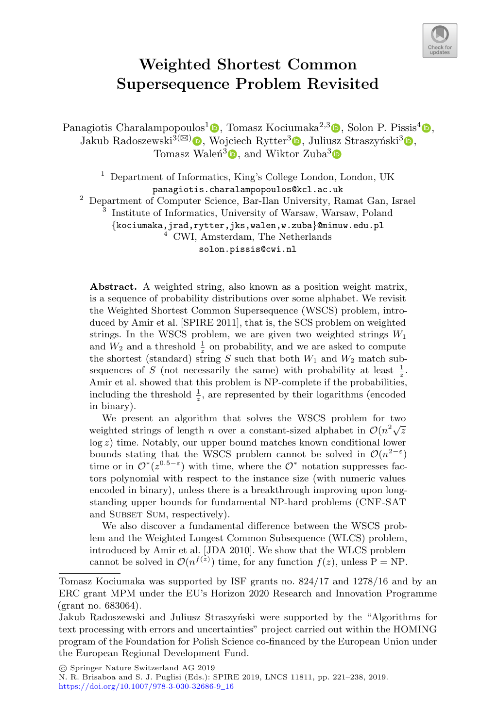

# **Weighted Shortest Common Supersequence Problem Revisited**

Panagiotis Charalampopoulos<sup>1</sup> $\bullet$ [,](http://orcid.org/0000-0002-2477-1702) Tomasz Kociumaka<sup>2,3</sup> $\bullet$ , Solon P. Pissis<sup>[4](http://orcid.org/0000-0002-1445-1932)</sup> $\bullet$ , Jakub Radoszewski<sup>3( $\boxtimes$ </sup>) [,](http://orcid.org/0000-0003-2207-0053) Wojciech Rytter<sup>3</sup> , Juliusz Straszyński<sup>3</sup> , Tomasz Walen<sup>3</sup><sup>o</sup>[,](http://orcid.org/0000-0002-7369-3309) and Wiktor Zuba<sup>[3](http://orcid.org/0000-0002-1988-3507)</sup><sup>o</sup>

> <sup>1</sup> Department of Informatics, King's College London, London, UK panagiotis.charalampopoulos@kcl.ac.uk

<sup>2</sup> Department of Computer Science, Bar-Ilan University, Ramat Gan, Israel

<sup>3</sup> Institute of Informatics, University of Warsaw, Warsaw, Poland {kociumaka,jrad,rytter,jks,walen,w.zuba}@mimuw.edu.pl <sup>4</sup> CWI, Amsterdam, The Netherlands

solon.pissis@cwi.nl

**Abstract.** A weighted string, also known as a position weight matrix, is a sequence of probability distributions over some alphabet. We revisit the Weighted Shortest Common Supersequence (WSCS) problem, introduced by Amir et al. [SPIRE 2011], that is, the SCS problem on weighted strings. In the WSCS problem, we are given two weighted strings  $W_1$ and  $W_2$  and a threshold  $\frac{1}{z}$  on probability, and we are asked to compute the shortest (standard) string  $S$  such that both  $W_1$  and  $W_2$  match subsequences of S (not necessarily the same) with probability at least  $\frac{1}{z}$ . Amir et al. showed that this problem is NP-complete if the probabilities, including the threshold  $\frac{1}{z}$ , are represented by their logarithms (encoded in binary).

We present an algorithm that solves the WSCS problem for two weighted strings of length n over a constant-sized alphabet in  $\mathcal{O}(n^2\sqrt{z})$ log z) time. Notably, our upper bound matches known conditional lower bounds stating that the WSCS problem cannot be solved in  $\mathcal{O}(n^{2-\epsilon})$ time or in  $\mathcal{O}^*(z^{0.5-\epsilon})$  with time, where the  $\mathcal{O}^*$  notation suppresses factors polynomial with respect to the instance size (with numeric values encoded in binary), unless there is a breakthrough improving upon longstanding upper bounds for fundamental NP-hard problems (CNF-SAT and SUBSET SUM, respectively).

We also discover a fundamental difference between the WSCS problem and the Weighted Longest Common Subsequence (WLCS) problem, introduced by Amir et al. [JDA 2010]. We show that the WLCS problem cannot be solved in  $\mathcal{O}(n^{f(z)})$  time, for any function  $f(z)$ , unless P = NP.

-c Springer Nature Switzerland AG 2019

Tomasz Kociumaka was supported by ISF grants no. 824/17 and 1278/16 and by an ERC grant MPM under the EU's Horizon 2020 Research and Innovation Programme (grant no. 683064).

Jakub Radoszewski and Juliusz Straszyński were supported by the "Algorithms for text processing with errors and uncertainties" project carried out within the HOMING program of the Foundation for Polish Science co-financed by the European Union under the European Regional Development Fund.

N. R. Brisaboa and S. J. Puglisi (Eds.): SPIRE 2019, LNCS 11811, pp. 221–238, 2019. [https://doi.org/10.1007/978-3-030-32686-9](https://doi.org/10.1007/978-3-030-32686-9_16)\_16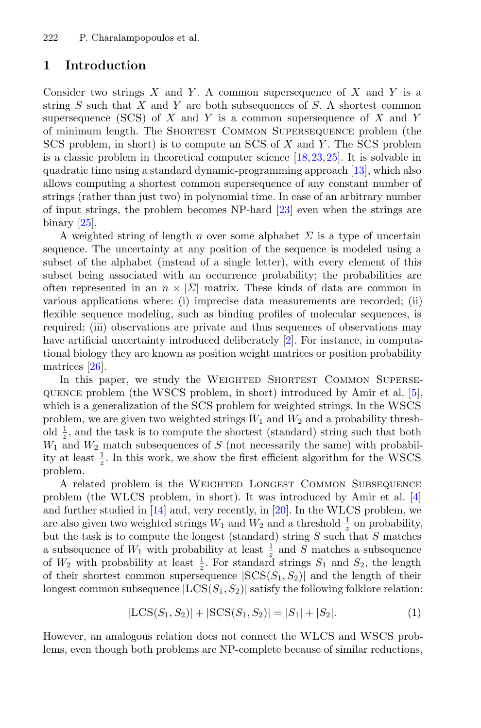## **1 Introduction**

Consider two strings  $X$  and  $Y$ . A common supersequence of  $X$  and  $Y$  is a string  $S$  such that  $X$  and  $Y$  are both subsequences of  $S$ . A shortest common supersequence (SCS) of X and Y is a common supersequence of X and Y of minimum length. The Shortest Common Supersequence problem (the SCS problem, in short) is to compute an SCS of X and Y . The SCS problem is a classic problem in theoretical computer science [\[18](#page-16-0),[23,](#page-16-1)[25](#page-17-0)]. It is solvable in quadratic time using a standard dynamic-programming approach [\[13](#page-16-2)], which also allows computing a shortest common supersequence of any constant number of strings (rather than just two) in polynomial time. In case of an arbitrary number of input strings, the problem becomes NP-hard [\[23](#page-16-1)] even when the strings are binary [\[25](#page-17-0)].

A weighted string of length n over some alphabet  $\Sigma$  is a type of uncertain sequence. The uncertainty at any position of the sequence is modeled using a subset of the alphabet (instead of a single letter), with every element of this subset being associated with an occurrence probability; the probabilities are often represented in an  $n \times |\Sigma|$  matrix. These kinds of data are common in various applications where: (i) imprecise data measurements are recorded; (ii) flexible sequence modeling, such as binding profiles of molecular sequences, is required; (iii) observations are private and thus sequences of observations may have artificial uncertainty introduced deliberately [\[2](#page-15-0)]. For instance, in computational biology they are known as position weight matrices or position probability matrices [\[26](#page-17-1)].

In this paper, we study the WEIGHTED SHORTEST COMMON SUPERSEquence problem (the WSCS problem, in short) introduced by Amir et al. [\[5](#page-15-1)], which is a generalization of the SCS problem for weighted strings. In the WSCS problem, we are given two weighted strings  $W_1$  and  $W_2$  and a probability threshold  $\frac{1}{z}$ , and the task is to compute the shortest (standard) string such that both  $W_1$  and  $W_2$  match subsequences of S (not necessarily the same) with probability at least  $\frac{1}{z}$ . In this work, we show the first efficient algorithm for the WSCS problem.

A related problem is the Weighted Longest Common Subsequence problem (the WLCS problem, in short). It was introduced by Amir et al. [\[4](#page-15-2)] and further studied in [\[14\]](#page-16-3) and, very recently, in [\[20](#page-16-4)]. In the WLCS problem, we are also given two weighted strings  $W_1$  and  $W_2$  and a threshold  $\frac{1}{z}$  on probability, but the task is to compute the longest (standard) string  $S$  such that  $S$  matches a subsequence of  $W_1$  with probability at least  $\frac{1}{z}$  and S matches a subsequence of  $W_2$  with probability at least  $\frac{1}{z}$ . For standard strings  $S_1$  and  $S_2$ , the length of their shortest common supersequence  $|SCS(S_1, S_2)|$  and the length of their longest common subsequence  $|LCS(S_1, S_2)|$  satisfy the following folklore relation:

<span id="page-1-0"></span>
$$
|\text{LCS}(S_1, S_2)| + |\text{SCS}(S_1, S_2)| = |S_1| + |S_2|.
$$
 (1)

However, an analogous relation does not connect the WLCS and WSCS problems, even though both problems are NP-complete because of similar reductions,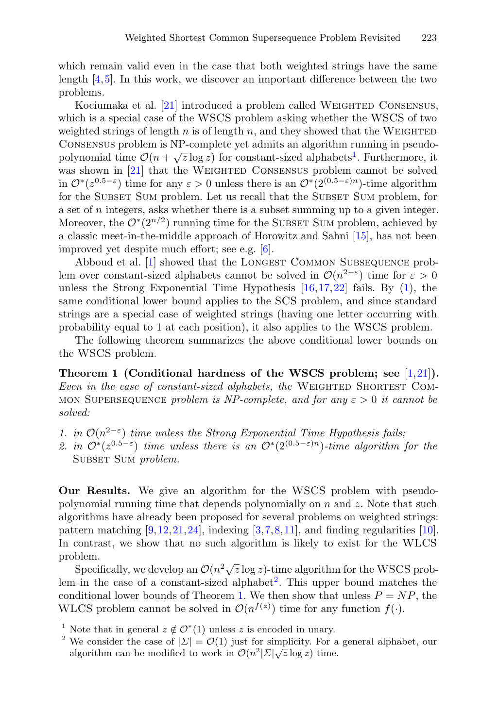which remain valid even in the case that both weighted strings have the same length [\[4,](#page-15-2)[5\]](#page-15-1). In this work, we discover an important difference between the two problems.

Kociumaka et al. [\[21\]](#page-16-5) introduced a problem called WEIGHTED CONSENSUS, which is a special case of the WSCS problem asking whether the WSCS of two weighted strings of length n is of length n, and they showed that the WEIGHTED Consensus problem is NP-complete yet admits an algorithm running in pseudopolynomial time  $\mathcal{O}(n + \sqrt{z} \log z)$  for constant-sized alphabets<sup>1</sup>. Furthermore, it was shown in [\[21\]](#page-16-5) that the WEIGHTED CONSENSUS problem cannot be solved in  $\mathcal{O}^*(z^{0.5-\epsilon})$  time for any  $\epsilon > 0$  unless there is an  $\mathcal{O}^*(2^{(0.5-\epsilon)n})$ -time algorithm for the SUBSET SUM problem. Let us recall that the SUBSET SUM problem, for a set of  $n$  integers, asks whether there is a subset summing up to a given integer. Moreover, the  $\mathcal{O}^*(2^{n/2})$  running time for the SUBSET SUM problem, achieved by a classic meet-in-the-middle approach of Horowitz and Sahni [\[15\]](#page-16-6), has not been improved yet despite much effort; see e.g. [\[6](#page-15-3)].

Abboud et al. [\[1](#page-15-4)] showed that the LONGEST COMMON SUBSEQUENCE problem over constant-sized alphabets cannot be solved in  $\mathcal{O}(n^{2-\epsilon})$  time for  $\varepsilon > 0$ unless the Strong Exponential Time Hypothesis  $[16,17,22]$  $[16,17,22]$  $[16,17,22]$  $[16,17,22]$  fails. By  $(1)$ , the same conditional lower bound applies to the SCS problem, and since standard strings are a special case of weighted strings (having one letter occurring with probability equal to 1 at each position), it also applies to the WSCS problem.

<span id="page-2-0"></span>The following theorem summarizes the above conditional lower bounds on the WSCS problem.

**Theorem 1 (Conditional hardness of the WSCS problem; see** [\[1](#page-15-4)[,21](#page-16-5)]**).** *Even in the case of constant-sized alphabets, the* WEIGHTED SHORTEST COMmon Supersequence *problem is NP-complete, and for any* ε > 0 *it cannot be solved:*

- *1. in*  $\mathcal{O}(n^{2-\epsilon})$  *time unless the Strong Exponential Time Hypothesis fails;*
- 2. in  $\mathcal{O}^*(z^{0.5-\epsilon})$  *time unless there is an*  $\mathcal{O}^*(2^{(0.5-\epsilon)n})$ *-time algorithm for the* SUBSET SUM *problem*.

**Our Results.** We give an algorithm for the WSCS problem with pseudopolynomial running time that depends polynomially on  $n$  and  $z$ . Note that such algorithms have already been proposed for several problems on weighted strings: pattern matching  $[9,12,21,24]$  $[9,12,21,24]$  $[9,12,21,24]$  $[9,12,21,24]$  $[9,12,21,24]$ , indexing  $[3,7,8,11]$  $[3,7,8,11]$  $[3,7,8,11]$  $[3,7,8,11]$ , and finding regularities [\[10\]](#page-16-15). In contrast, we show that no such algorithm is likely to exist for the WLCS problem.

Specifically, we develop an  $\mathcal{O}(n^2\sqrt{z}\log z)$ -time algorithm for the WSCS problem in the case of a constant-sized alphabet<sup>2</sup>. This upper bound matches the conditional lower bounds of Theorem [1.](#page-2-0) We then show that unless  $P = NP$ , the WLCS problem cannot be solved in  $\mathcal{O}(n^{f(z)})$  time for any function  $f(\cdot)$ .

<sup>&</sup>lt;sup>1</sup> Note that in general  $z \notin \mathcal{O}^*(1)$  unless  $z$  is encoded in unary.<br><sup>2</sup> We consider the case of  $|\Sigma| = \mathcal{O}(1)$  just for simplicity. For a general alphabet, our algorithm can be modified to work in  $\mathcal{O}(n^2|\Sigma|\sqrt{z}\log z)$  time.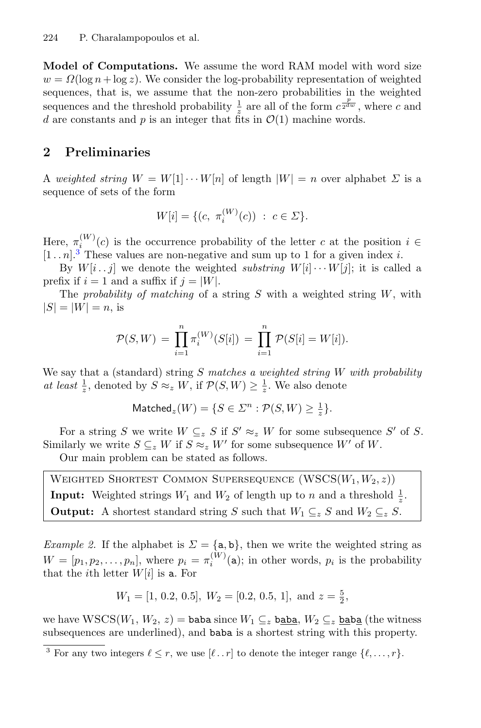**Model of Computations.** We assume the word RAM model with word size  $w = \Omega(\log n + \log z)$ . We consider the log-probability representation of weighted sequences, that is, we assume that the non-zero probabilities in the weighted sequences and the threshold probability  $\frac{1}{z}$  are all of the form  $c^{\frac{p}{2dw}}$ , where c and d are constants and p is an integer that fits in  $\mathcal{O}(1)$  machine words.

## **2 Preliminaries**

A *weighted string*  $W = W[1] \cdots W[n]$  of length  $|W| = n$  over alphabet  $\Sigma$  is a sequence of sets of the form

$$
W[i] = \{ (c, \ \pi_i^{(W)}(c)) \ : \ c \in \Sigma \}.
$$

Here,  $\pi_i^{(W)}(c)$  is the occurrence probability of the letter c at the position  $i \in$  $[1..n]^3$  These values are non-negative and sum up to 1 for a given index i.

By  $W[i..j]$  we denote the weighted *substring*  $W[i] \cdots W[j]$ ; it is called a prefix if  $i = 1$  and a suffix if  $j = |W|$ .

The *probability of matching* of a string S with a weighted string W, with  $|S| = |W| = n$ , is

$$
\mathcal{P}(S,W) = \prod_{i=1}^{n} \pi_i^{(W)}(S[i]) = \prod_{i=1}^{n} \mathcal{P}(S[i] = W[i]).
$$

We say that a (standard) string S *matches a weighted string* W *with probability at least*  $\frac{1}{z}$ , denoted by  $S \approx_z W$ , if  $\mathcal{P}(S, W) \geq \frac{1}{z}$ . We also denote

$$
\text{Matched}_{z}(W) = \{ S \in \Sigma^{n} : \mathcal{P}(S, W) \ge \frac{1}{z} \}.
$$

For a string S we write  $W \subseteq_{z} S$  if  $S' \approx_{z} W$  for some subsequence S' of S. Similarly we write  $S \subseteq_{z} W$  if  $S \approx_{z} W'$  for some subsequence W' of W.

Our main problem can be stated as follows.

<span id="page-3-0"></span>WEIGHTED SHORTEST COMMON SUPERSEQUENCE  $(WSCS(W_1, W_2, z))$ **Input:** Weighted strings  $W_1$  and  $W_2$  of length up to n and a threshold  $\frac{1}{z}$ . **Output:** A shortest standard string S such that  $W_1 \subseteq_z S$  and  $W_2 \subseteq_z S$ .

*Example 2.* If the alphabet is  $\Sigma = {\mathbf{a}, \mathbf{b}}$ , then we write the weighted string as  $W = [p_1, p_2, \dots, p_n]$ , where  $p_i = \pi_i^{(W)}(a)$ ; in other words,  $p_i$  is the probability that the *i*th letter  $W[i]$  is a. For

$$
W_1 = [1, 0.2, 0.5], W_2 = [0.2, 0.5, 1], \text{ and } z = \frac{5}{2},
$$

we have  $WSCS(W_1, W_2, z) =$  baba since  $W_1 \subseteq_z$  baba,  $W_2 \subseteq_z$  baba (the witness subsequences are underlined), and baba is a shortest string with this property.

<sup>&</sup>lt;sup>3</sup> For any two integers  $\ell \leq r$ , we use  $[\ell \dots r]$  to denote the integer range  $\{\ell, \dots, r\}$ .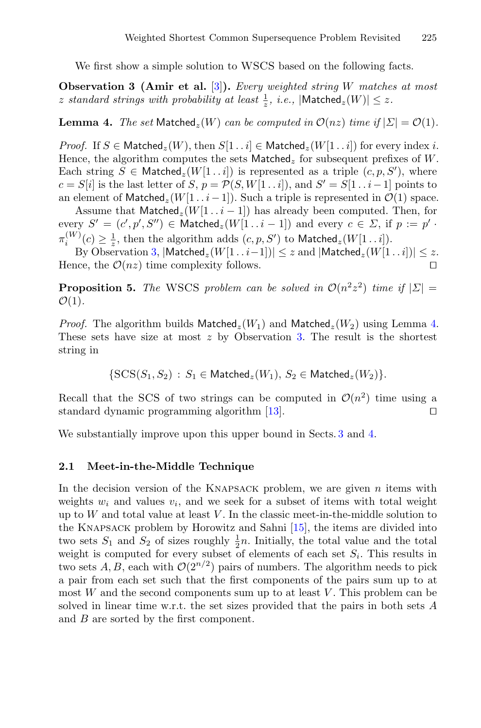<span id="page-4-0"></span>We first show a simple solution to WSCS based on the following facts.

**Observation 3 (Amir et al.** [\[3\]](#page-15-5)**).** *Every weighted string* W *matches at most* z standard strings with probability at least  $\frac{1}{z}$ , *i.e.*,  $|\textsf{Matched}_z(W)| \leq z$ .

<span id="page-4-1"></span>**Lemma 4.** *The set* Matched<sub>z</sub>(W) *can be computed in*  $\mathcal{O}(nz)$  *time if*  $|\Sigma| = \mathcal{O}(1)$ *.* 

*Proof.* If  $S \in \text{Matched}_z(W)$ , then  $S[1 \tildot i] \in \text{Matched}_z(W[1 \tildot i])$  for every index i. Hence, the algorithm computes the sets Matched<sub>z</sub> for subsequent prefixes of W. Each string  $S \in \text{Matched}_z(W[1 \dots i])$  is represented as a triple  $(c, p, S')$ , where  $c = S[i]$  is the last letter of  $S, p = \mathcal{P}(S, W[1\ldots i]),$  and  $S' = S[1\ldots i-1]$  points to an element of Matched<sub>z</sub>(W[1..i−1]). Such a triple is represented in  $\mathcal{O}(1)$  space.

Assume that  ${\sf Matched}_{z}(W[1..i-1])$  has already been computed. Then, for every  $S' = (c', p', S'') \in \mathsf{Matched}_z(W[1 \dots i-1])$  and every  $c \in \Sigma$ , if  $p := p' \cdot$  $\pi_i^{(W)}(c) \geq \frac{1}{z}$ , then the algorithm adds  $(c, p, S')$  to Matched<sub>z</sub> $(W[1..i])$ .

By Observation [3,](#page-4-0)  $|\text{Matched}_z(W[1 \dots i-1])| \leq z$  and  $|\text{Matched}_z(W[1 \dots i])| \leq z$ . Hence, the  $\mathcal{O}(nz)$  time complexity follows.

**Proposition 5.** *The* WSCS *problem can be solved in*  $O(n^2z^2)$  *time if*  $|\Sigma|$  =  $\mathcal{O}(1)$ .

*Proof.* The algorithm builds Matched<sub>z</sub>( $W_1$ ) and Matched<sub>z</sub>( $W_2$ ) using Lemma [4.](#page-4-1) These sets have size at most  $z$  by Observation [3.](#page-4-0) The result is the shortest string in

 $\{SCS(S_1, S_2) : S_1 \in \text{Matched}_z(W_1), S_2 \in \text{Matched}_z(W_2)\}.$ 

Recall that the SCS of two strings can be computed in  $\mathcal{O}(n^2)$  time using a standard dynamic programming algorithm [13] standard dynamic programming algorithm [\[13\]](#page-16-2). 

We substantially improve upon this upper bound in Sects. [3](#page-5-0) and [4.](#page-8-0)

#### **2.1 Meet-in-the-Middle Technique**

In the decision version of the KNAPSACK problem, we are given  $n$  items with weights  $w_i$  and values  $v_i$ , and we seek for a subset of items with total weight up to  $W$  and total value at least  $V$ . In the classic meet-in-the-middle solution to the Knapsack problem by Horowitz and Sahni [\[15](#page-16-6)], the items are divided into two sets  $S_1$  and  $S_2$  of sizes roughly  $\frac{1}{2}n$ . Initially, the total value and the total weight is computed for every subset of elements of each set  $S_i$ . This results in two sets A, B, each with  $\mathcal{O}(2^{n/2})$  pairs of numbers. The algorithm needs to pick a pair from each set such that the first components of the pairs sum up to at most  $W$  and the second components sum up to at least  $V$ . This problem can be solved in linear time w.r.t. the set sizes provided that the pairs in both sets A and B are sorted by the first component.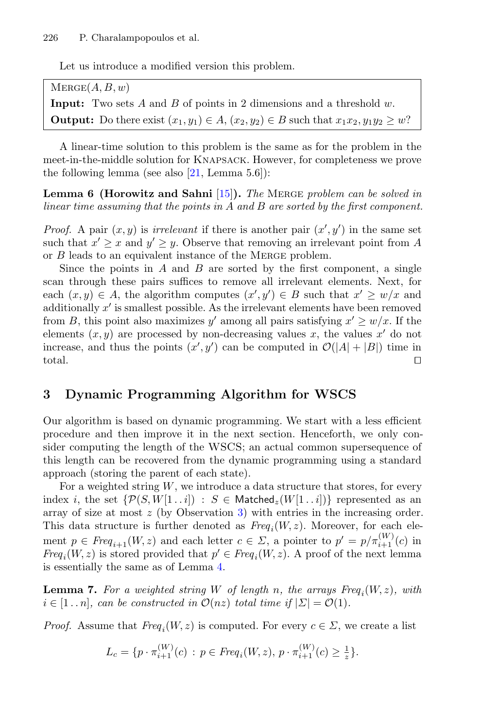Let us introduce a modified version this problem.

 $MERGE(A, B, w)$ **Input:** Two sets A and B of points in 2 dimensions and a threshold w. **Output:** Do there exist  $(x_1, y_1) \in A$ ,  $(x_2, y_2) \in B$  such that  $x_1x_2, y_1y_2 \geq w$ ?

A linear-time solution to this problem is the same as for the problem in the meet-in-the-middle solution for Knapsack. However, for completeness we prove the following lemma (see also  $[21, \text{Lemma } 5.6]$  $[21, \text{Lemma } 5.6]$ ):

**Lemma 6 (Horowitz and Sahni** [\[15](#page-16-6)]**).** *The* Merge *problem can be solved in linear time assuming that the points in* A *and* B *are sorted by the first component.*

*Proof.* A pair  $(x, y)$  is *irrelevant* if there is another pair  $(x', y')$  in the same set such that  $x' \geq x$  and  $y' \geq y$ . Observe that removing an irrelevant point from A or B leads to an equivalent instance of the Merge problem.

Since the points in  $A$  and  $B$  are sorted by the first component, a single scan through these pairs suffices to remove all irrelevant elements. Next, for each  $(x, y) \in A$ , the algorithm computes  $(x', y') \in B$  such that  $x' \geq w/x$  and additionally  $x'$  is smallest possible. As the irrelevant elements have been removed from B, this point also maximizes y' among all pairs satisfying  $x' \geq w/x$ . If the elements  $(x, y)$  are processed by non-decreasing values x, the values x' do not increase, and thus the points  $(x', y')$  can be computed in  $\mathcal{O}(|A| + |B|)$  time in total.

## <span id="page-5-0"></span>**3 Dynamic Programming Algorithm for WSCS**

Our algorithm is based on dynamic programming. We start with a less efficient procedure and then improve it in the next section. Henceforth, we only consider computing the length of the WSCS; an actual common supersequence of this length can be recovered from the dynamic programming using a standard approach (storing the parent of each state).

For a weighted string  $W$ , we introduce a data structure that stores, for every index i, the set  $\{\mathcal{P}(S, W[1..i]) : S \in \text{Matched}_{\mathcal{Z}}(W[1..i])\}$  represented as an array of size at most  $z$  (by Observation [3\)](#page-4-0) with entries in the increasing order. This data structure is further denoted as  $Freq_i(W, z)$ . Moreover, for each element  $p \in \text{Freq}_{i+1}(W, z)$  and each letter  $c \in \Sigma$ , a pointer to  $p' = p/\pi_{i+1}^{(W)}(c)$  in *Freq*<sub>i</sub>(W, z) is stored provided that  $p' \in Freg_i(W, z)$ . A proof of the next lemma is essentially the same as of Lemma [4.](#page-4-1)

<span id="page-5-1"></span>**Lemma 7.** For a weighted string W of length n, the arrays Freq<sub>i</sub>(W, z), with  $i \in [1..n]$ , can be constructed in  $\mathcal{O}(nz)$  total time if  $|\Sigma| = \mathcal{O}(1)$ .

*Proof.* Assume that  $Freq_i(W, z)$  is computed. For every  $c \in \Sigma$ , we create a list

$$
L_c = \{p \cdot \pi_{i+1}^{(W)}(c) \, : \, p \in \text{Freq}_i(W, z), \, p \cdot \pi_{i+1}^{(W)}(c) \ge \frac{1}{z}\}.
$$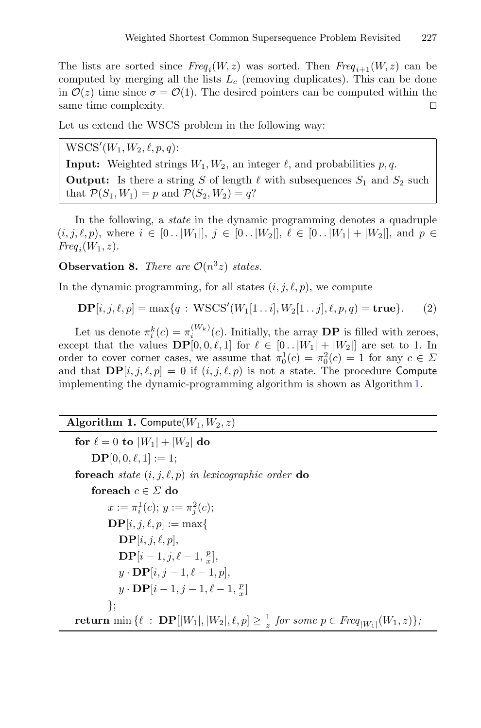The lists are sorted since  $Freq_i(W, z)$  was sorted. Then  $Freq_{i+1}(W, z)$  can be computed by merging all the lists  $L_c$  (removing duplicates). This can be done in  $\mathcal{O}(z)$  time since  $\sigma = \mathcal{O}(1)$ . The desired pointers can be computed within the same time complexity. same time complexity. 

Let us extend the WSCS problem in the following way:

 ${\rm WSCS}'(W_1, W_2, \ell, p, q)$ :

**Input:** Weighted strings  $W_1, W_2$ , an integer  $\ell$ , and probabilities p, q. **Output:** Is there a string S of length  $\ell$  with subsequences  $S_1$  and  $S_2$  such that  $\mathcal{P}(S_1, W_1) = p$  and  $\mathcal{P}(S_2, W_2) = q$ ?

In the following, a *state* in the dynamic programming denotes a quadruple  $(i, j, \ell, p)$ , where  $i \in [0..|W_1|], j \in [0..|W_2|], \ell \in [0..|W_1|+|W_2|]$ , and  $p \in$  $Freq_i(W_1, z)$ .

<span id="page-6-2"></span>**Observation 8.** *There are*  $\mathcal{O}(n^3z)$  *states.* 

In the dynamic programming, for all states  $(i, j, \ell, p)$ , we compute

<span id="page-6-1"></span>
$$
\mathbf{DP}[i, j, \ell, p] = \max\{q : \mathbf{WSCS}'(W_1[1..i], W_2[1..j], \ell, p, q) = \mathbf{true}\}.
$$
 (2)

Let us denote  $\pi_i^k(c) = \pi_i^{(W_k)}(c)$ . Initially, the array **DP** is filled with zeroes, except that the values  $\mathbf{DP}[0, 0, \ell, 1]$  for  $\ell \in [0..|W_1| + |W_2|]$  are set to 1. In order to cover corner cases, we assume that  $\pi_0^1(c) = \pi_0^2(c) = 1$  for any  $c \in \Sigma$ and that  $\mathbf{DP}[i, j, \ell, p] = 0$  if  $(i, j, \ell, p)$  is not a state. The procedure Compute implementing the dynamic-programming algorithm is shown as Algorithm [1.](#page-6-0)

## <span id="page-6-0"></span>**Algorithm 1.** Compute $(W_1, W_2, z)$

```
for \ell = 0 to |W_1| + |W_2| do
    \mathbf{DP}[0, 0, \ell, 1] := 1;foreach state (i, j, \ell, p) in lexicographic order do
     foreach c ∈ Σ do
          x := \pi_i^1(c); y := \pi_j^2(c);\mathbf{DP}[i, j, \ell, p] := \max\{\mathbf{DP}[i, j, \ell, p],\mathbf{DP}[i-1, j, \ell-1, \frac{p}{x}],y \cdot \mathbf{DP}[i, j-1, \ell-1, p],y \cdot \mathbf{DP}[i-1, j-1, \ell-1, \frac{p}{x}]};
return min \{\ell : {\bf DP}[|W_1|, |W_2|, \ell, p] \geq \frac{1}{z} for some p \in \text{Freq}_{|W_1|}(W_1, z)\},
```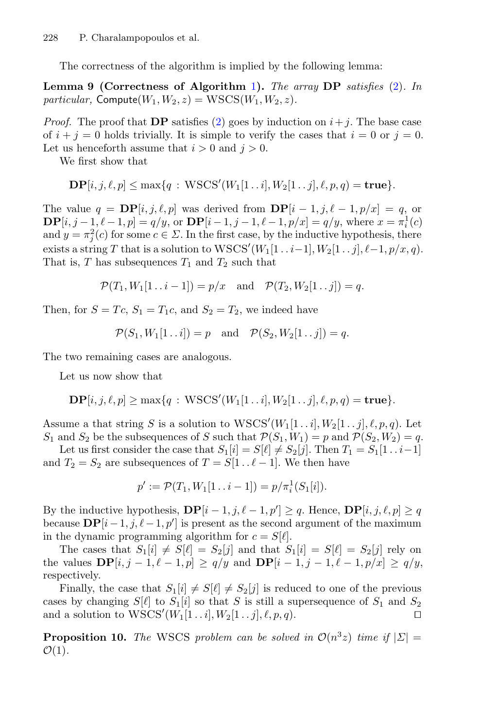<span id="page-7-0"></span>The correctness of the algorithm is implied by the following lemma:

**Lemma 9 (Correctness of Algorithm** [1](#page-6-0)**).** *The array* **DP** *satisfies* [\(2\)](#page-6-1)*. In particular,* Compute $(W_1, W_2, z) = \text{WSCS}(W_1, W_2, z)$ .

*Proof.* The proof that **DP** satisfies [\(2\)](#page-6-1) goes by induction on  $i + j$ . The base case of  $i + j = 0$  holds trivially. It is simple to verify the cases that  $i = 0$  or  $j = 0$ . Let us henceforth assume that  $i > 0$  and  $j > 0$ .

We first show that

$$
\mathbf{DP}[i, j, \ell, p] \le \max\{q : \mathbf{WSCS}'(W_1[1\mathinner{.\,.} i], W_2[1\mathinner{.\,.} j], \ell, p, q) = \mathbf{true}\}.
$$

The value  $q = \mathbf{DP}[i, j, \ell, p]$  was derived from  $\mathbf{DP}[i-1, j, \ell-1, p/x] = q$ , or **DP**[ $i, j - 1, \ell - 1, p$ ] =  $q/y$ , or **DP**[ $i - 1, j - 1, \ell - 1, p/x$ ] =  $q/y$ , where  $x = \pi_i^1(c)$ and  $y = \pi_j^2(c)$  for some  $c \in \Sigma$ . In the first case, by the inductive hypothesis, there exists a string T that is a solution to  $WSCS'(W_1[1\ldots i-1], W_2[1\ldots j], \ell-1, p/x, q)$ . That is, T has subsequences  $T_1$  and  $T_2$  such that

$$
\mathcal{P}(T_1, W_1[1 \dots i-1]) = p/x
$$
 and  $\mathcal{P}(T_2, W_2[1 \dots j]) = q$ .

Then, for  $S = T_c$ ,  $S_1 = T_1c$ , and  $S_2 = T_2$ , we indeed have

$$
\mathcal{P}(S_1, W_1[1..i]) = p
$$
 and  $\mathcal{P}(S_2, W_2[1..j]) = q$ .

The two remaining cases are analogous.

Let us now show that

$$
\mathbf{DP}[i, j, \ell, p] \ge \max\{q : \mathbf{WSCS}'(W_1[1\mathinner{.\,.} i], W_2[1\mathinner{.\,.} j], \ell, p, q) = \mathbf{true}\}.
$$

Assume a that string S is a solution to  $WSCS'(W_1[1\ldots i], W_2[1\ldots j], \ell, p, q)$ . Let  $S_1$  and  $S_2$  be the subsequences of S such that  $\mathcal{P}(S_1, W_1) = p$  and  $\mathcal{P}(S_2, W_2) = q$ .

Let us first consider the case that  $S_1[i] = S[\ell] \neq S_2[j]$ . Then  $T_1 = S_1[1 \dots i-1]$ and  $T_2 = S_2$  are subsequences of  $T = S[1..\ell - 1]$ . We then have

$$
p' := \mathcal{P}(T_1, W_1[1 \dots i-1]) = p/\pi_i^1(S_1[i]).
$$

By the inductive hypothesis,  $\mathbf{DP}[i-1, j, \ell-1, p'] \geq q$ . Hence,  $\mathbf{DP}[i, j, \ell, p] \geq q$ because  $\mathbf{DP}[i-1, j, \ell-1, p']$  is present as the second argument of the maximum in the dynamic programming algorithm for  $c = S[\ell].$ 

The cases that  $S_1[i] \neq S[\ell] = S_2[j]$  and that  $S_1[i] = S[\ell] = S_2[j]$  rely on the values  $\mathbf{DP}[i, j-1, \ell-1, p] \ge q/y$  and  $\mathbf{DP}[i-1, j-1, \ell-1, p/x] \ge q/y$ , respectively.

Finally, the case that  $S_1[i] \neq S[\ell] \neq S_2[j]$  is reduced to one of the previous cases by changing  $S[\ell]$  to  $S_1[i]$  so that S is still a supersequence of  $S_1$  and  $S_2$ and a solution to  $WSCS'(W_1[1\mathinner{.\,.} i], W_2[1\mathinner{.\,.} j], \ell, p, q)$ .

<span id="page-7-1"></span>**Proposition 10.** *The* WSCS *problem can be solved in*  $\mathcal{O}(n^3z)$  *time if*  $|\Sigma|$  =  $\mathcal{O}(1)$ .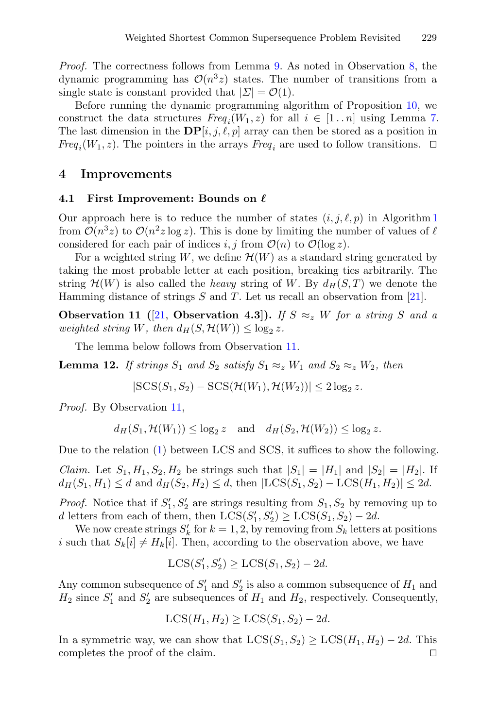*Proof.* The correctness follows from Lemma [9.](#page-7-0) As noted in Observation [8,](#page-6-2) the dynamic programming has  $\mathcal{O}(n^3z)$  states. The number of transitions from a single state is constant provided that  $|\Sigma| = \mathcal{O}(1)$ .

Before running the dynamic programming algorithm of Proposition [10,](#page-7-1) we construct the data structures  $Freq_i(W_1, z)$  for all  $i \in [1..n]$  using Lemma [7.](#page-5-1) The last dimension in the  $\mathbf{DP}[i, j, \ell, p]$  array can then be stored as a position in *Freq*<sub>i</sub>( $W_1$ , z). The pointers in the arrays *Freq*<sub>i</sub> are used to follow transitions.  $\Box$ 

### <span id="page-8-0"></span>**4 Improvements**

#### $4.1$  First Improvement: Bounds on  $\ell$

Our approach here is to reduce the number of states  $(i, j, \ell, p)$  in Algorithm [1](#page-6-0) from  $\mathcal{O}(n^3z)$  to  $\mathcal{O}(n^2z \log z)$ . This is done by limiting the number of values of  $\ell$ considered for each pair of indices i, j from  $\mathcal{O}(n)$  to  $\mathcal{O}(\log z)$ .

For a weighted string W, we define  $\mathcal{H}(W)$  as a standard string generated by taking the most probable letter at each position, breaking ties arbitrarily. The string  $\mathcal{H}(W)$  is also called the *heavy* string of W. By  $d_H(S,T)$  we denote the Hamming distance of strings  $S$  and  $T$ . Let us recall an observation from [\[21\]](#page-16-5).

**Observation 11** ([\[21](#page-16-5), **Observation 4.3**]). If  $S \approx z$  W for a string S and a *weighted string* W, then  $d_H(S, \mathcal{H}(W)) \leq \log_2 z$ .

The lemma below follows from Observation [11.](#page-8-1)

**Lemma 12.** *If strings*  $S_1$  *and*  $S_2$  *satisfy*  $S_1 \approx z W_1$  *and*  $S_2 \approx z W_2$ *, then* 

<span id="page-8-2"></span><span id="page-8-1"></span> $|SCS(S_1, S_2) - SCS(\mathcal{H}(W_1), \mathcal{H}(W_2))| \leq 2 \log_2 z.$ 

*Proof.* By Observation [11,](#page-8-1)

 $d_H(S_1, \mathcal{H}(W_1)) \leq \log_2 z$  and  $d_H(S_2, \mathcal{H}(W_2)) \leq \log_2 z$ .

Due to the relation [\(1\)](#page-1-0) between LCS and SCS, it suffices to show the following.

*Claim.* Let  $S_1, H_1, S_2, H_2$  be strings such that  $|S_1| = |H_1|$  and  $|S_2| = |H_2|$ . If  $d_H(S_1, H_1) \leq d$  and  $d_H(S_2, H_2) \leq d$ , then  $|LCS(S_1, S_2) - LCS(H_1, H_2)| \leq 2d$ .

*Proof.* Notice that if  $S'_1$ ,  $S'_2$  are strings resulting from  $S_1$ ,  $S_2$  by removing up to d letters from each of them, then  $LCS(S'_1, S'_2) \geq LCS(S_1, S_2) - 2d$ .

We now create strings  $S'_k$  for  $k = 1, 2$ , by removing from  $S_k$  letters at positions i such that  $S_k[i] \neq H_k[i]$ . Then, according to the observation above, we have

$$
LCS(S'_1, S'_2) \geq LCS(S_1, S_2) - 2d.
$$

Any common subsequence of  $S'_1$  and  $S'_2$  is also a common subsequence of  $H_1$  and  $H_2$  since  $S'_1$  and  $S'_2$  are subsequences of  $H_1$  and  $H_2$ , respectively. Consequently,

$$
LCS(H_1, H_2) \geq LCS(S_1, S_2) - 2d.
$$

In a symmetric way, we can show that  $LCS(S_1, S_2) \geq LCS(H_1, H_2) - 2d$ . This completes the proof of the claim. □ completes the proof of the claim.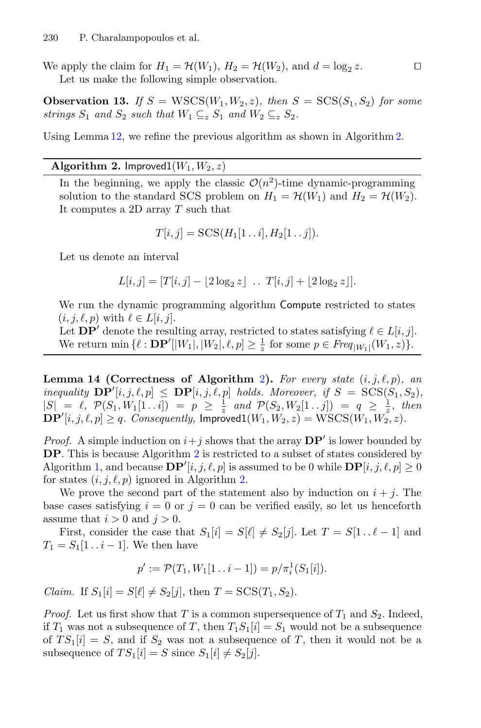We apply the claim for  $H_1 = \mathcal{H}(W_1)$ ,  $H_2 = \mathcal{H}(W_2)$ , and  $d = \log_2 z$ . Let us make the following simple observation.

**Observation 13.** If  $S = \text{WSCS}(W_1, W_2, z)$ , then  $S = \text{SCS}(S_1, S_2)$  for some *strings*  $S_1$  *and*  $S_2$  *such that*  $W_1 \subseteq_z S_1$  *and*  $W_2 \subseteq_z S_2$ *.* 

Using Lemma [12,](#page-8-2) we refine the previous algorithm as shown in Algorithm [2.](#page-9-0)

#### **Algorithm 2.** Improved $1(W_1, W_2, z)$

<span id="page-9-0"></span>In the beginning, we apply the classic  $\mathcal{O}(n^2)$ -time dynamic-programming solution to the standard SCS problem on  $H_1 = \mathcal{H}(W_1)$  and  $H_2 = \mathcal{H}(W_2)$ . It computes a 2D array T such that

$$
T[i,j] = \mathrm{SCS}(H_1[1\mathinner{.\,.} i], H_2[1\mathinner{.\,.} j]).
$$

Let us denote an interval

$$
L[i, j] = [T[i, j] - \lfloor 2 \log_2 z \rfloor \ \dots \ T[i, j] + \lfloor 2 \log_2 z \rfloor].
$$

We run the dynamic programming algorithm Compute restricted to states  $(i, j, \ell, p)$  with  $\ell \in L[i, j]$ .

Let  $\mathbf{DP}'$  denote the resulting array, restricted to states satisfying  $\ell \in L[i, j]$ . We return  $\min \{ \ell : {\bf DP'}[|W_1|, |W_2|, \ell, p] \geq \frac{1}{z} \text{ for some } p \in \text{Freq}_{|W_1|}(W_1, z) \}.$ 

<span id="page-9-1"></span>**Lemma 14 (Correctness of Algorithm** [2](#page-9-0)). For every state  $(i, j, \ell, p)$ , an *inequality*  $\mathbf{DP}'[i, j, \ell, p] \leq \mathbf{DP}[i, j, \ell, p]$  *holds. Moreover, if*  $S = \text{SCS}(S_1, S_2)$ *,*  $|S| = \ell$ ,  $\mathcal{P}(S_1, W_1[1 \dots i]) = p \ge \frac{1}{z}$  and  $\mathcal{P}(S_2, W_2[1 \dots j]) = q \ge \frac{1}{z}$ , then  $\mathbf{DP}'[i, j, \ell, p] \geq q$ . Consequently, Improved $1(W_1, W_2, z) = \text{WSCS}(W_1, W_2, z)$ .

*Proof.* A simple induction on  $i + j$  shows that the array  $DP'$  is lower bounded by **DP**. This is because Algorithm [2](#page-9-0) is restricted to a subset of states considered by Algorithm [1,](#page-6-0) and because  $\mathbf{DP}'[i, j, \ell, p]$  is assumed to be 0 while  $\mathbf{DP}[i, j, \ell, p] \ge 0$ for states  $(i, j, \ell, p)$  ignored in Algorithm [2.](#page-9-0)

We prove the second part of the statement also by induction on  $i + j$ . The base cases satisfying  $i = 0$  or  $j = 0$  can be verified easily, so let us henceforth assume that  $i > 0$  and  $j > 0$ .

First, consider the case that  $S_1[i] = S[\ell] \neq S_2[j]$ . Let  $T = S[1 \dots \ell - 1]$  and  $T_1 = S_1[1 \dots i - 1]$ . We then have

$$
p' := \mathcal{P}(T_1, W_1[1 \dots i-1]) = p/\pi_i^1(S_1[i]).
$$

*Claim.* If  $S_1[i] = S[\ell] \neq S_2[j]$ , then  $T = \text{SCS}(T_1, S_2)$ .

*Proof.* Let us first show that T is a common supersequence of  $T_1$  and  $S_2$ . Indeed, if  $T_1$  was not a subsequence of T, then  $T_1S_1[i] = S_1$  would not be a subsequence of  $TS_1[i] = S$ , and if  $S_2$  was not a subsequence of T, then it would not be a subsequence of  $TS_1[i] = S$  since  $S_1[i] \neq S_2[j]$ .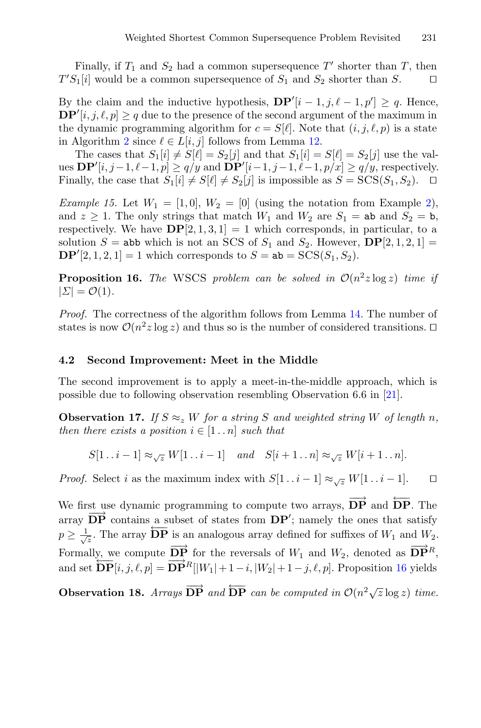Finally, if  $T_1$  and  $S_2$  had a common supersequence T' shorter than T, then  $T'S_1[i]$  would be a common supersequence of  $S_1$  and  $S_2$  shorter than  $S$ .

By the claim and the inductive hypothesis,  $\mathbf{DP}'[i-1, j, \ell-1, p'] \geq q$ . Hence,  $\mathbf{DP}'[i, j, \ell, p] \geq q$  due to the presence of the second argument of the maximum in the dynamic programming algorithm for  $c = S[\ell]$ . Note that  $(i, j, \ell, p)$  is a state in Algorithm [2](#page-9-0) since  $\ell \in L[i, j]$  follows from Lemma [12.](#page-8-2)

The cases that  $S_1[i] \neq S[\ell] = S_2[j]$  and that  $S_1[i] = S[\ell] = S_2[j]$  use the values  $\mathbf{DP}'[i, j-1, \ell-1, p] \ge q/y$  and  $\mathbf{DP}'[i-1, j-1, \ell-1, p/x] \ge q/y$ , respectively. Finally, the case that  $S_1[i] \neq S[\ell] \neq S_2[j]$  is impossible as  $S = \text{SCS}(S_1, S_2)$ .  $\Box$ 

*Example 15.* Let  $W_1 = [1, 0], W_2 = [0]$  (using the notation from Example [2\)](#page-3-0), and  $z \geq 1$ . The only strings that match  $W_1$  and  $W_2$  are  $S_1 =$  ab and  $S_2 =$  b, respectively. We have  $\mathbf{DP}[2, 1, 3, 1] = 1$  which corresponds, in particular, to a solution  $S =$  abb which is not an SCS of  $S_1$  and  $S_2$ . However,  $\mathbf{DP}[2,1,2,1] =$ **DP**<sup>'</sup>[2, 1, 2, 1] = 1 which corresponds to  $S = ab = SCS(S_1, S_2)$ .

<span id="page-10-0"></span>**Proposition 16.** *The* WSCS *problem can be solved in*  $O(n^2z \log z)$  *time if*  $|\Sigma| = \mathcal{O}(1)$ .

*Proof.* The correctness of the algorithm follows from Lemma [14.](#page-9-1) The number of states is now  $\mathcal{O}(n^2z \log z)$  and thus so is the number of considered transitions.  $\Box$ 

#### **4.2 Second Improvement: Meet in the Middle**

<span id="page-10-1"></span>The second improvement is to apply a meet-in-the-middle approach, which is possible due to following observation resembling Observation 6.6 in [\[21\]](#page-16-5).

**Observation 17.** If  $S \approx z W$  for a string S and weighted string W of length n, *then there exists a position*  $i \in [1..n]$  *such that* 

<sup>S</sup>[1 ..i <sup>−</sup> 1] <sup>≈</sup><sup>√</sup><sup>z</sup> <sup>W</sup>[1 ..i <sup>−</sup> 1] *and* <sup>S</sup>[<sup>i</sup> + 1 ..n] <sup>≈</sup><sup>√</sup><sup>z</sup> <sup>W</sup>[<sup>i</sup> + 1 ..n].

*Proof.* Select i as the maximum index with  $S[1 \tldots i-1] \approx \bar{K} W[1 \tldots i-1]$ .

We first use dynamic programming to compute two arrays,  $\overrightarrow{DP}$  and  $\overleftarrow{DP}$ . The array  $\overrightarrow{DP}$  contains a subset of states from  $DP'$ ; namely the ones that satisfy  $p \geq \frac{1}{\sqrt{z}}$ . The array  $\overleftarrow{DP}$  is an analogous array defined for suffixes of  $W_1$  and  $W_2$ . Formally, we compute  $\overrightarrow{DP}$  for the reversals of  $W_1$  and  $W_2$ , denoted as  $\overrightarrow{DP}^R$ , and set  $\overrightarrow{DP}[i, j, \ell, p] = \overrightarrow{DP}^{R}[|W_1| + 1 - i, |W_2| + 1 - j, \ell, p]$ . Proposition [16](#page-10-0) yields

**Observation 18.** *Arrays*  $\overrightarrow{DP}$  *and*  $\overleftarrow{DP}$  *can be computed in*  $O(n^2\sqrt{z}\log z)$  *time.*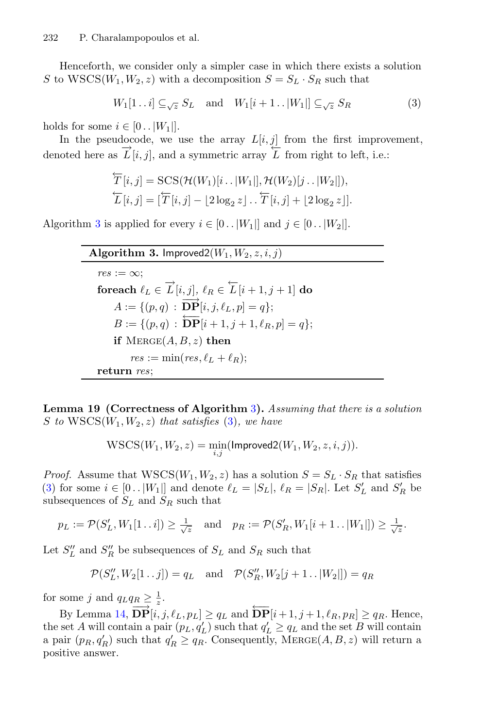Henceforth, we consider only a simpler case in which there exists a solution S to  $WSCS(W_1, W_2, z)$  with a decomposition  $S = S_L \cdot S_R$  such that

<span id="page-11-1"></span>
$$
W_1[1\mathinner{.\,.} i] \subseteq \mathop{\text{I}}\nolimits_{\sqrt{z}} S_L \quad \text{and} \quad W_1[i+1\mathinner{.\,.} |W_1|] \subseteq \mathop{\text{I}}\nolimits_{\sqrt{z}} S_R \tag{3}
$$

holds for some  $i \in [0..|W_1|]$ .

In the pseudocode, we use the array  $L[i, j]$  from the first improvement, denoted here as  $\overrightarrow{L}[i, j]$ , and a symmetric array  $\overleftarrow{L}$  from right to left, i.e.:

$$
\overleftarrow{T}[i,j] = \text{SCS}(\mathcal{H}(W_1)[i\mathinner{.\,.} |W_1|], \mathcal{H}(W_2)[j\mathinner{.\,.} |W_2|]),
$$
  

$$
\overleftarrow{L}[i,j] = [\overleftarrow{T}[i,j] - \lfloor 2\log_2 z \rfloor \cdot \cdot \overleftarrow{T}[i,j] + \lfloor 2\log_2 z \rfloor].
$$

Algorithm [3](#page-11-0) is applied for every  $i \in [0..|W_1|]$  and  $j \in [0..|W_2|]$ .

## <span id="page-11-0"></span>**Algorithm 3.** Improved  $2(W_1, W_2, z, i, j)$

 $res := \infty$ ;  ${\bf forceach}\,\,\ell_L\in \overrightarrow{L}[i,j],\,\ell_R\in \overleftarrow{L}[i+1,j+1] \;{\bf do}$  $A := \{(p, q) : \overrightarrow{DP}|i, j, \ell_L, p| = q\};\$  $B := \{(p,q) : \overrightarrow{DP}|i+1,j+1,\ell_R,p| = q\};\$ **if**  $MERGE(A, B, z)$  **then**  $res := \min(res, \ell_L + \ell_R);$ **return** *res*;

<span id="page-11-2"></span>**Lemma 19 (Correctness of Algorithm** [3](#page-11-0)**).** *Assuming that there is a solution* S to  $WSCS(W_1, W_2, z)$  *that satisfies* [\(3\)](#page-11-1), we have

$$
\mathrm{WSCS}(W_1,W_2,z)=\min_{i,j}(\mathsf{Improved2}(W_1,W_2,z,i,j)).
$$

*Proof.* Assume that  $WSCS(W_1, W_2, z)$  has a solution  $S = S_L \cdot S_R$  that satisfies [\(3\)](#page-11-1) for some  $i \in [0 \dots |W_1|]$  and denote  $\ell_L = |S_L|$ ,  $\ell_R = |S_R|$ . Let  $S'_L$  and  $S'_R$  be subsequences of  $S_L$  and  $S_R$  such that

$$
p_L := \mathcal{P}(S'_L, W_1[1 \dots i]) \ge \frac{1}{\sqrt{z}}
$$
 and  $p_R := \mathcal{P}(S'_R, W_1[i+1 \dots |W_1]]) \ge \frac{1}{\sqrt{z}}$ .

Let  $S^{\prime\prime}_L$  and  $S^{\prime\prime}_R$  be subsequences of  $S_L$  and  $S_R$  such that

$$
\mathcal{P}(S''_L, W_2[1\mathinner{.\,.} j]) = q_L \text{ and } \mathcal{P}(S''_R, W_2[j+1\mathinner{.\,.} |W_2|]) = q_R
$$

for some j and  $q_L q_R \geq \frac{1}{z}$ .

By Lemma [14,](#page-9-1)  $\overrightarrow{DP}[i, j, \ell_L, p_L] \ge q_L$  and  $\overleftarrow{DP}[i + 1, j + 1, \ell_R, p_R] \ge q_R$ . Hence, the set A will contain a pair  $(p_L, q'_L)$  such that  $q'_L \ge q_L$  and the set B will contain a pair  $(p_R, q'_R)$  such that  $q'_R \ge q_R$ . Consequently, MERGE(A, B, z) will return a positive answer.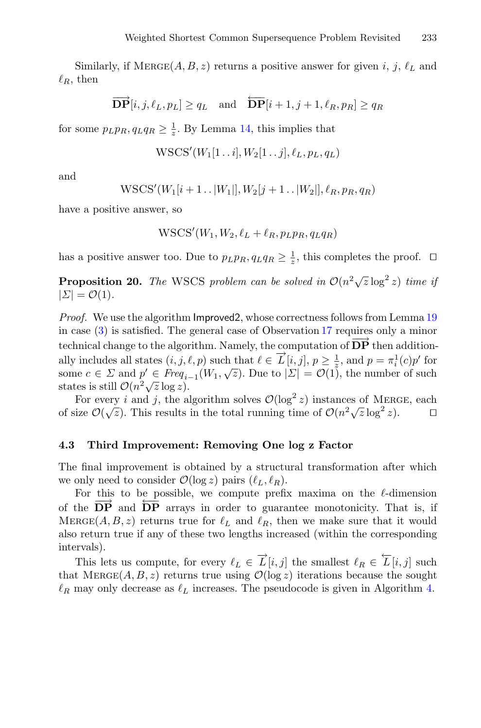Similarly, if  $MERGE(A, B, z)$  returns a positive answer for given i, j,  $\ell_L$  and  $\ell_R$ , then

$$
\overrightarrow{\mathbf{DP}}[i, j, \ell_L, p_L] \ge q_L \quad \text{and} \quad \overleftarrow{\mathbf{DP}}[i+1, j+1, \ell_R, p_R] \ge q_R
$$

for some  $p_Lp_R, q_Lq_R \geq \frac{1}{z}$ . By Lemma [14,](#page-9-1) this implies that

$$
\mathrm{WSCS}'(W_1[1\mathinner{.\,.} i], W_2[1\mathinner{.\,.} j], \ell_L, p_L, q_L)
$$

and

$$
WSCS'(W_1[i+1..|W_1|], W_2[j+1..|W_2|], \ell_R, p_R, q_R)
$$

have a positive answer, so

$$
\text{WSCS}'(W_1, W_2, \ell_L + \ell_R, p_L p_R, q_L q_R)
$$

has a positive answer too. Due to  $p_L p_R, q_L q_R \geq \frac{1}{z}$ , this completes the proof.  $\Box$ 

**Proposition 20.** *The* WSCS *problem can be solved in*  $O(n^2\sqrt{z}\log^2 z)$  *time if*  $|\Sigma| = \mathcal{O}(1)$ .

*Proof.* We use the algorithm Improved2, whose correctness follows from Lemma [19](#page-11-2) in case [\(3\)](#page-11-1) is satisfied. The general case of Observation [17](#page-10-1) requires only a minor technical change to the algorithm. Namely, the computation of  $\overrightarrow{DP}$  then additionally includes all states  $(i, j, \ell, p)$  such that  $\ell \in \overrightarrow{L}[i, j], p \geq \frac{1}{z}$ , and  $p = \pi_i^1(c)p'$  for some  $c \in \Sigma$  and  $p' \in \text{Freq}_{i-1}(W_1, \sqrt{z})$ . Due to  $|\Sigma| = \mathcal{O}(1)$ , the number of such states is still  $\mathcal{O}(n^2 \sqrt{z} \log z)$ .

For every *i* and *j*, the algorithm solves  $\mathcal{O}(\log^2 z)$  instances of MERGE, each of size  $\mathcal{O}(\sqrt{z})$ . This results in the total running time of  $\mathcal{O}(n^2\sqrt{z}\log^2 z)$ .

#### **4.3 Third Improvement: Removing One log z Factor**

The final improvement is obtained by a structural transformation after which we only need to consider  $\mathcal{O}(\log z)$  pairs  $(\ell_L, \ell_R)$ .

For this to be possible, we compute prefix maxima on the  $\ell$ -dimension of the DP and DP arrays in order to guarantee monotonicity. That is, if MERGE(A, B, z) returns true for  $\ell_L$  and  $\ell_R$ , then we make sure that it would also return true if any of these two lengths increased (within the corresponding intervals).

This lets us compute, for every  $\ell_L \in \overrightarrow{L}[i,j]$  the smallest  $\ell_R \in \overleftarrow{L}[i,j]$  such that MERGE(A, B, z) returns true using  $\mathcal{O}(\log z)$  iterations because the sought  $\ell_R$  may only decrease as  $\ell_L$  increases. The pseudocode is given in Algorithm [4.](#page-13-0)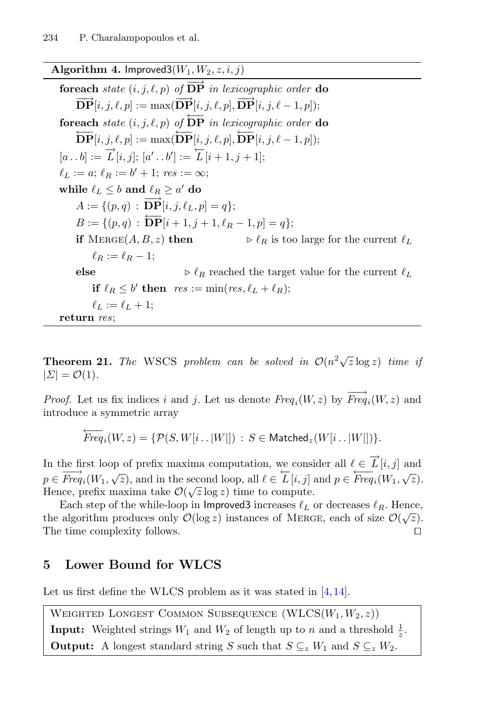### <span id="page-13-0"></span>**Algorithm 4.** Improved  $3(W_1, W_2, z, i, j)$

**foreach** *state*  $(i, j, \ell, p)$  *of*  $\overrightarrow{DP}$  *in lexicographic order* **do**  $\overrightarrow{\textbf{DP}}[i, j, \ell, p] := \max(\overrightarrow{\textbf{DP}}[i, j, \ell, p], \overrightarrow{\textbf{DP}}[i, j, \ell - 1, p]);$ **foreach** *state*  $(i, j, \ell, p)$  *of*  $\overleftarrow{DP}$  *in lexicographic order* **do**  $\overleftarrow{\textrm{DP}}[i,j,\ell,p] := \max(\overleftarrow{\textrm{DP}}[i,j,\ell,p], \overleftarrow{\textrm{DP}}[i,j,\ell-1,p]);$  $[a \tcdot b] := \overrightarrow{L}[i,j]; [a' \tcdot b'] := \overleftarrow{L}[i+1,j+1];$  $\ell_L := a$ ;  $\ell_B := b' + 1$ ;  $res := \infty$ ; **while**  $\ell_L < b$  and  $\ell_R > a'$  do  $A := \{(p, q) : \overrightarrow{DP}|i, j, \ell_L, p| = q\};\$  $B := \{(p,q) : \overleftarrow{DP}|i+1,j+1,\ell_R-1,p] = q\};$ **if** MERGE(A, B, z) **then**  $\triangleright \ell_R$  is too large for the current  $\ell_L$  $\ell_R := \ell_R - 1;$ **else**  $\triangleright \ell_R$  reached the target value for the current  $\ell_L$ **if**  $\ell_R \leq b'$  **then**  $res := \min(res, \ell_L + \ell_R);$  $\ell_L := \ell_L + 1$ ; **return** *res*;

**Theorem 21.** *The* WSCS *problem can be solved in*  $O(n^2\sqrt{z}\log z)$  *time if*  $|\Sigma| = \mathcal{O}(1)$ .

*Proof.* Let us fix indices i and j. Let us denote  $Freq_i(W, z)$  by  $\overrightarrow{Freq}_i(W, z)$  and introduce a symmetric array

$$
\overleftarrow{Freq}_i(W, z) = \{ \mathcal{P}(S, W[i\mathinner{.\,.} |W|]) \, : \, S \in \mathsf{Matched}_z(W[i\mathinner{.\,.} |W|]) \}.
$$

In the first loop of prefix maxima computation, we consider all  $\ell \in \overrightarrow{L}[i,j]$  and  $p \in \overrightarrow{Freq}_i(W_1, \sqrt{z})$ , and in the second loop, all  $\ell \in \overleftarrow{L}[i, j]$  and  $p \in \overleftarrow{Freq}_i(W_1, \sqrt{z})$ . Hence, prefix maxima take  $\mathcal{O}(\sqrt{z}\log z)$  time to compute.

Each step of the while-loop in Improved3 increases  $\ell_L$  or decreases  $\ell_R$ . Hence, the algorithm produces only  $\mathcal{O}(\log z)$  instances of MERGE, each of size  $\mathcal{O}(\sqrt{z})$ . The time complexity follows.

## **5 Lower Bound for WLCS**

Let us first define the WLCS problem as it was stated in  $[4,14]$  $[4,14]$  $[4,14]$ .

```
WEIGHTED LONGEST COMMON SUBSEQUENCE (WLCS(W_1, W_2, z))Input: Weighted strings W_1 and W_2 of length up to n and a threshold \frac{1}{z}.
Output: A longest standard string S such that S \subseteq_z W_1 and S \subseteq_z W_2.
```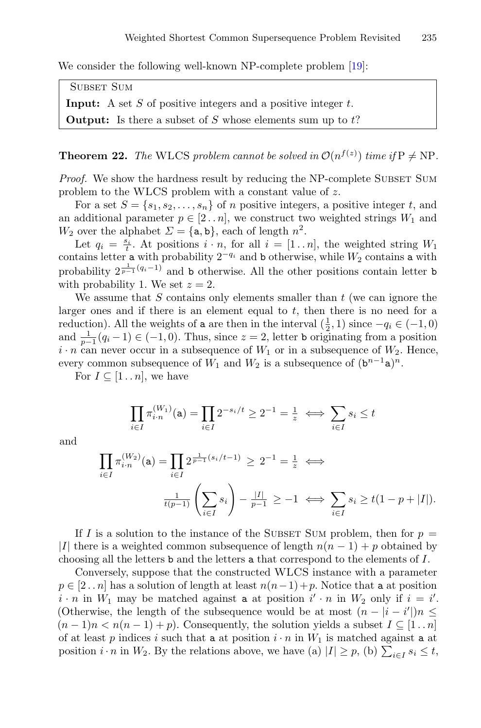We consider the following well-known NP-complete problem [\[19](#page-16-16)]:

SUBSET SUM **Input:** A set  $S$  of positive integers and a positive integer  $t$ . **Output:** Is there a subset of S whose elements sum up to  $t$ ?

**Theorem 22.** *The* WLCS *problem cannot be solved in*  $\mathcal{O}(n^{f(z)})$  *time if*  $P \neq NP$ *.* 

*Proof.* We show the hardness result by reducing the NP-complete SUBSET SUM problem to the WLCS problem with a constant value of z.

For a set  $S = \{s_1, s_2, \ldots, s_n\}$  of n positive integers, a positive integer t, and an additional parameter  $p \in [2..n]$ , we construct two weighted strings  $W_1$  and  $W_2$  over the alphabet  $\Sigma = \{a, b\}$ , each of length  $n^2$ .

Let  $q_i = \frac{s_i}{t}$ . At positions  $i \cdot n$ , for all  $i = [1..n]$ , the weighted string  $W_1$ contains letter a with probability  $2^{-q_i}$  and b otherwise, while  $W_2$  contains a with probability  $2^{\frac{1}{p-1}(q_i-1)}$  and b otherwise. All the other positions contain letter b with probability 1. We set  $z = 2$ .

We assume that  $S$  contains only elements smaller than  $t$  (we can ignore the larger ones and if there is an element equal to  $t$ , then there is no need for a reduction). All the weights of a are then in the interval  $(\frac{1}{2}, 1)$  since  $-q_i \in (-1, 0)$ and  $\frac{1}{p-1}(q_i-1) \in (-1,0)$ . Thus, since  $z = 2$ , letter b originating from a position  $i \cdot n$  can never occur in a subsequence of  $W_1$  or in a subsequence of  $W_2$ . Hence, every common subsequence of  $W_1$  and  $W_2$  is a subsequence of  $(\mathbf{b}^{n-1}\mathbf{a})^n$ .

For  $I \subseteq [1 \dots n]$ , we have

$$
\prod_{i \in I} \pi_{i \cdot n}^{(W_1)}(\mathbf{a}) = \prod_{i \in I} 2^{-s_i/t} \ge 2^{-1} = \frac{1}{z} \iff \sum_{i \in I} s_i \le t
$$

and

$$
\prod_{i \in I} \pi_{i \cdot n}^{(W_2)}(\mathbf{a}) = \prod_{i \in I} 2^{\frac{1}{p-1}(s_i/t-1)} \ge 2^{-1} = \frac{1}{z} \iff
$$

$$
\frac{1}{t(p-1)} \left( \sum_{i \in I} s_i \right) - \frac{|I|}{p-1} \ge -1 \iff \sum_{i \in I} s_i \ge t(1-p+|I|).
$$

If I is a solution to the instance of the SUBSET SUM problem, then for  $p =$ |I| there is a weighted common subsequence of length  $n(n - 1) + p$  obtained by choosing all the letters b and the letters a that correspond to the elements of I.

Conversely, suppose that the constructed WLCS instance with a parameter  $p \in [2 \tildot n]$  has a solution of length at least  $n(n-1)+p$ . Notice that a at position  $i \cdot n$  in  $W_1$  may be matched against a at position  $i' \cdot n$  in  $W_2$  only if  $i = i'$ . (Otherwise, the length of the subsequence would be at most  $(n - |i - i'|)n \leq$  $(n-1)n < n(n-1) + p$ ). Consequently, the solution yields a subset  $I \subseteq [1..n]$ of at least p indices i such that a at position  $i \cdot n$  in  $W_1$  is matched against a at position  $i \cdot n$  in  $W_2$ . By the relations above, we have (a)  $|I| \geq p$ , (b)  $\sum_{i \in I} s_i \leq t$ ,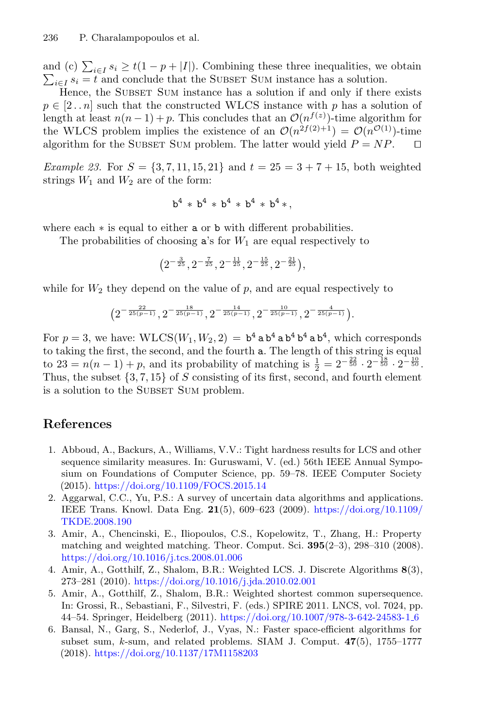and (c)  $\sum_{i\in I} s_i \ge t(1-p+|I|)$ . Combining these three inequalities, we obtain  $\sum_{i\in I} s_i = t$  and conclude that the SUBSET SUM instance has a solution.

Hence, the SUBSET SUM instance has a solution if and only if there exists  $p \in [2..n]$  such that the constructed WLCS instance with p has a solution of length at least  $n(n-1) + p$ . This concludes that an  $\mathcal{O}(n^{f(z)})$ -time algorithm for the WLCS problem implies the existence of an  $\mathcal{O}(n^{2f(2)+1}) = \mathcal{O}(n^{\mathcal{O}(1)})$ -time algorithm for the SUBSET SUM problem. The latter would vield  $P = NP$ . algorithm for the SUBSET SUM problem. The latter would yield  $P = NP$ .

*Example 23.* For  $S = \{3, 7, 11, 15, 21\}$  and  $t = 25 = 3 + 7 + 15$ , both weighted strings  $W_1$  and  $W_2$  are of the form:

$$
b^4 \ * \ b^4 \ * \ b^4 \ * \ b^4 \ * \ b^4 \ * \ ,
$$

where each  $∗$  is equal to either **a** or **b** with different probabilities.

The probabilities of choosing  $a$ 's for  $W_1$  are equal respectively to

$$
\left(2^{-\frac{3}{25}}, 2^{-\frac{7}{25}}, 2^{-\frac{11}{25}}, 2^{-\frac{15}{25}}, 2^{-\frac{21}{25}}\right),
$$

while for  $W_2$  they depend on the value of p, and are equal respectively to

$$
\big(2^{-\frac{22}{25(p-1)}},2^{-\frac{18}{25(p-1)}},2^{-\frac{14}{25(p-1)}},2^{-\frac{10}{25(p-1)}},2^{-\frac{4}{25(p-1)}}\big).
$$

For  $p = 3$ , we have:  $WLCS(W_1, W_2, 2) = b^4 a b^4 a b^4 b^4 a b^4$ , which corresponds to taking the first, the second, and the fourth a. The length of this string is equal to  $23 = n(n-1) + p$ , and its probability of matching is  $\frac{1}{2} = 2^{-\frac{22}{50}} \cdot 2^{-\frac{18}{50}} \cdot 2^{-\frac{10}{50}}$ . Thus, the subset  $\{3, 7, 15\}$  of S consisting of its first, second, and fourth element is a solution to the SUBSET SUM problem.

## **References**

- <span id="page-15-4"></span>1. Abboud, A., Backurs, A., Williams, V.V.: Tight hardness results for LCS and other sequence similarity measures. In: Guruswami, V. (ed.) 56th IEEE Annual Symposium on Foundations of Computer Science, pp. 59–78. IEEE Computer Society (2015). <https://doi.org/10.1109/FOCS.2015.14>
- <span id="page-15-0"></span>2. Aggarwal, C.C., Yu, P.S.: A survey of uncertain data algorithms and applications. IEEE Trans. Knowl. Data Eng. **21**(5), 609–623 (2009). [https://doi.org/10.1109/](https://doi.org/10.1109/TKDE.2008.190) [TKDE.2008.190](https://doi.org/10.1109/TKDE.2008.190)
- <span id="page-15-5"></span>3. Amir, A., Chencinski, E., Iliopoulos, C.S., Kopelowitz, T., Zhang, H.: Property matching and weighted matching. Theor. Comput. Sci. **395**(2–3), 298–310 (2008). <https://doi.org/10.1016/j.tcs.2008.01.006>
- <span id="page-15-2"></span>4. Amir, A., Gotthilf, Z., Shalom, B.R.: Weighted LCS. J. Discrete Algorithms **8**(3), 273–281 (2010). <https://doi.org/10.1016/j.jda.2010.02.001>
- <span id="page-15-1"></span>5. Amir, A., Gotthilf, Z., Shalom, B.R.: Weighted shortest common supersequence. In: Grossi, R., Sebastiani, F., Silvestri, F. (eds.) SPIRE 2011. LNCS, vol. 7024, pp. 44–54. Springer, Heidelberg (2011). [https://doi.org/10.1007/978-3-642-24583-1](https://doi.org/10.1007/978-3-642-24583-1_6) 6
- <span id="page-15-3"></span>6. Bansal, N., Garg, S., Nederlof, J., Vyas, N.: Faster space-efficient algorithms for subset sum, k-sum, and related problems. SIAM J. Comput. **47**(5), 1755–1777 (2018). <https://doi.org/10.1137/17M1158203>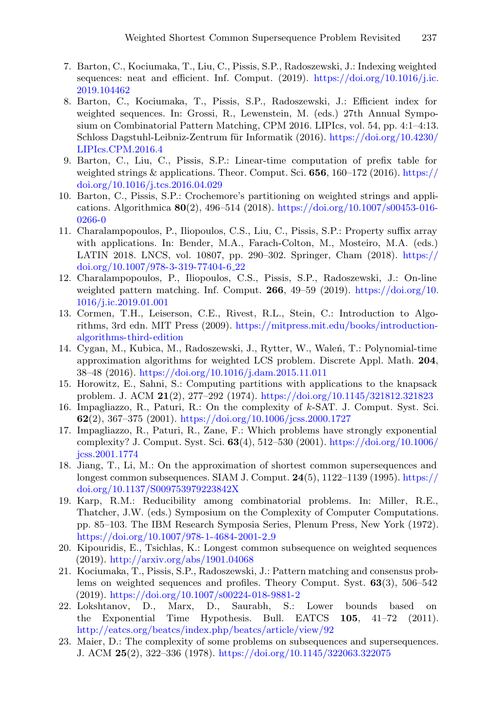- <span id="page-16-12"></span>7. Barton, C., Kociumaka, T., Liu, C., Pissis, S.P., Radoszewski, J.: Indexing weighted sequences: neat and efficient. Inf. Comput.  $(2019)$ . [https://doi.org/10.1016/j.ic.](https://doi.org/10.1016/j.ic.2019.104462) [2019.104462](https://doi.org/10.1016/j.ic.2019.104462)
- <span id="page-16-13"></span>8. Barton, C., Kociumaka, T., Pissis, S.P., Radoszewski, J.: Efficient index for weighted sequences. In: Grossi, R., Lewenstein, M. (eds.) 27th Annual Symposium on Combinatorial Pattern Matching, CPM 2016. LIPIcs, vol. 54, pp. 4:1–4:13. Schloss Dagstuhl-Leibniz-Zentrum für Informatik  $(2016)$ . [https://doi.org/10.4230/](https://doi.org/10.4230/LIPIcs.CPM.2016.4) [LIPIcs.CPM.2016.4](https://doi.org/10.4230/LIPIcs.CPM.2016.4)
- <span id="page-16-10"></span>9. Barton, C., Liu, C., Pissis, S.P.: Linear-time computation of prefix table for weighted strings & applications. Theor. Comput. Sci. **656**, 160–172 (2016). [https://](https://doi.org/10.1016/j.tcs.2016.04.029) [doi.org/10.1016/j.tcs.2016.04.029](https://doi.org/10.1016/j.tcs.2016.04.029)
- <span id="page-16-15"></span>10. Barton, C., Pissis, S.P.: Crochemore's partitioning on weighted strings and applications. Algorithmica **80**(2), 496–514 (2018). [https://doi.org/10.1007/s00453-016-](https://doi.org/10.1007/s00453-016-0266-0) [0266-0](https://doi.org/10.1007/s00453-016-0266-0)
- <span id="page-16-14"></span>11. Charalampopoulos, P., Iliopoulos, C.S., Liu, C., Pissis, S.P.: Property suffix array with applications. In: Bender, M.A., Farach-Colton, M., Mosteiro, M.A. (eds.) LATIN 2018. LNCS, vol. 10807, pp. 290–302. Springer, Cham (2018). [https://](https://doi.org/10.1007/978-3-319-77404-6_22) [doi.org/10.1007/978-3-319-77404-6](https://doi.org/10.1007/978-3-319-77404-6_22) 22
- <span id="page-16-11"></span>12. Charalampopoulos, P., Iliopoulos, C.S., Pissis, S.P., Radoszewski, J.: On-line weighted pattern matching. Inf. Comput. **266**, 49–59 (2019). [https://doi.org/10.](https://doi.org/10.1016/j.ic.2019.01.001) [1016/j.ic.2019.01.001](https://doi.org/10.1016/j.ic.2019.01.001)
- <span id="page-16-2"></span>13. Cormen, T.H., Leiserson, C.E., Rivest, R.L., Stein, C.: Introduction to Algorithms, 3rd edn. MIT Press (2009). [https://mitpress.mit.edu/books/introduction](https://mitpress.mit.edu/books/introduction-algorithms-third-edition)[algorithms-third-edition](https://mitpress.mit.edu/books/introduction-algorithms-third-edition)
- <span id="page-16-3"></span>14. Cygan, M., Kubica, M., Radoszewski, J., Rytter, W., Walen, T.: Polynomial-time approximation algorithms for weighted LCS problem. Discrete Appl. Math. **204**, 38–48 (2016). <https://doi.org/10.1016/j.dam.2015.11.011>
- <span id="page-16-6"></span>15. Horowitz, E., Sahni, S.: Computing partitions with applications to the knapsack problem. J. ACM **21**(2), 277–292 (1974). <https://doi.org/10.1145/321812.321823>
- <span id="page-16-7"></span>16. Impagliazzo, R., Paturi, R.: On the complexity of k-SAT. J. Comput. Syst. Sci. **62**(2), 367–375 (2001). <https://doi.org/10.1006/jcss.2000.1727>
- <span id="page-16-8"></span>17. Impagliazzo, R., Paturi, R., Zane, F.: Which problems have strongly exponential complexity? J. Comput. Syst. Sci. **63**(4), 512–530 (2001). [https://doi.org/10.1006/](https://doi.org/10.1006/jcss.2001.1774) [jcss.2001.1774](https://doi.org/10.1006/jcss.2001.1774)
- <span id="page-16-0"></span>18. Jiang, T., Li, M.: On the approximation of shortest common supersequences and longest common subsequences. SIAM J. Comput. **24**(5), 1122–1139 (1995). [https://](https://doi.org/10.1137/S009753979223842X) [doi.org/10.1137/S009753979223842X](https://doi.org/10.1137/S009753979223842X)
- <span id="page-16-16"></span>19. Karp, R.M.: Reducibility among combinatorial problems. In: Miller, R.E., Thatcher, J.W. (eds.) Symposium on the Complexity of Computer Computations. pp. 85–103. The IBM Research Symposia Series, Plenum Press, New York (1972). [https://doi.org/10.1007/978-1-4684-2001-2](https://doi.org/10.1007/978-1-4684-2001-2_9) 9
- <span id="page-16-4"></span>20. Kipouridis, E., Tsichlas, K.: Longest common subsequence on weighted sequences (2019). <http://arxiv.org/abs/1901.04068>
- <span id="page-16-5"></span>21. Kociumaka, T., Pissis, S.P., Radoszewski, J.: Pattern matching and consensus problems on weighted sequences and profiles. Theory Comput. Syst. **63**(3), 506–542 (2019). <https://doi.org/10.1007/s00224-018-9881-2>
- <span id="page-16-9"></span>22. Lokshtanov, D., Marx, D., Saurabh, S.: Lower bounds based on the Exponential Time Hypothesis. Bull. EATCS **105**, 41–72 (2011). <http://eatcs.org/beatcs/index.php/beatcs/article/view/92>
- <span id="page-16-1"></span>23. Maier, D.: The complexity of some problems on subsequences and supersequences. J. ACM **25**(2), 322–336 (1978). <https://doi.org/10.1145/322063.322075>